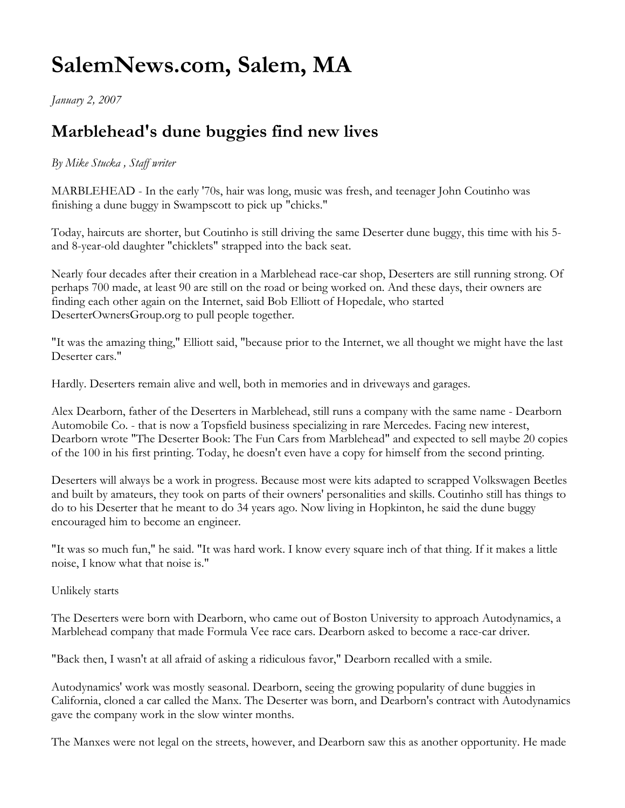## **SalemNews.com, Salem, MA**

*January 2, 2007*

## **Marblehead's dune buggies find new lives**

## *By Mike Stucka , Staff writer*

MARBLEHEAD - In the early '70s, hair was long, music was fresh, and teenager John Coutinho was finishing a dune buggy in Swampscott to pick up "chicks."

Today, haircuts are shorter, but Coutinho is still driving the same Deserter dune buggy, this time with his 5 and 8-year-old daughter "chicklets" strapped into the back seat.

Nearly four decades after their creation in a Marblehead race-car shop, Deserters are still running strong. Of perhaps 700 made, at least 90 are still on the road or being worked on. And these days, their owners are finding each other again on the Internet, said Bob Elliott of Hopedale, who started DeserterOwnersGroup.org to pull people together.

"It was the amazing thing," Elliott said, "because prior to the Internet, we all thought we might have the last Deserter cars."

Hardly. Deserters remain alive and well, both in memories and in driveways and garages.

Alex Dearborn, father of the Deserters in Marblehead, still runs a company with the same name - Dearborn Automobile Co. - that is now a Topsfield business specializing in rare Mercedes. Facing new interest, Dearborn wrote "The Deserter Book: The Fun Cars from Marblehead" and expected to sell maybe 20 copies of the 100 in his first printing. Today, he doesn't even have a copy for himself from the second printing.

Deserters will always be a work in progress. Because most were kits adapted to scrapped Volkswagen Beetles and built by amateurs, they took on parts of their owners' personalities and skills. Coutinho still has things to do to his Deserter that he meant to do 34 years ago. Now living in Hopkinton, he said the dune buggy encouraged him to become an engineer.

"It was so much fun," he said. "It was hard work. I know every square inch of that thing. If it makes a little noise, I know what that noise is."

Unlikely starts

The Deserters were born with Dearborn, who came out of Boston University to approach Autodynamics, a Marblehead company that made Formula Vee race cars. Dearborn asked to become a race-car driver.

"Back then, I wasn't at all afraid of asking a ridiculous favor," Dearborn recalled with a smile.

Autodynamics' work was mostly seasonal. Dearborn, seeing the growing popularity of dune buggies in California, cloned a car called the Manx. The Deserter was born, and Dearborn's contract with Autodynamics gave the company work in the slow winter months.

The Manxes were not legal on the streets, however, and Dearborn saw this as another opportunity. He made